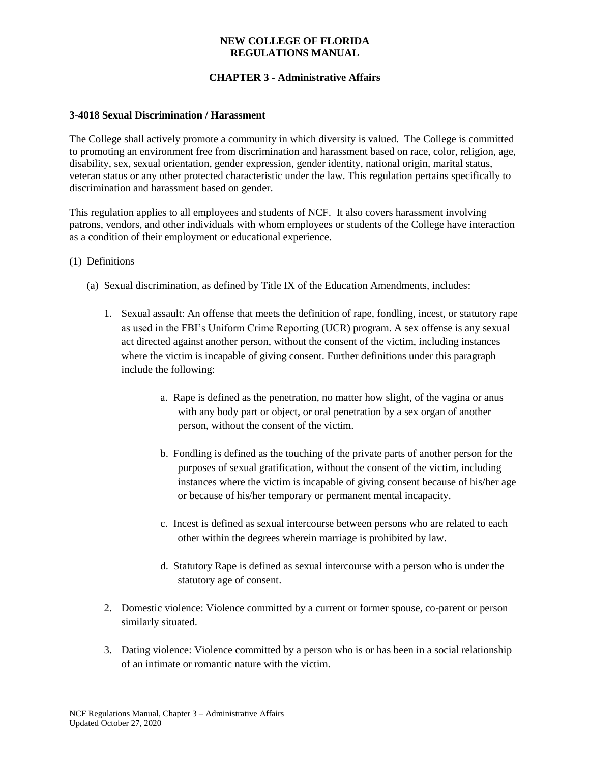# **CHAPTER 3 - Administrative Affairs**

#### **3-4018 Sexual Discrimination / Harassment**

The College shall actively promote a community in which diversity is valued. The College is committed to promoting an environment free from discrimination and harassment based on race, color, religion, age, disability, sex, sexual orientation, gender expression, gender identity, national origin, marital status, veteran status or any other protected characteristic under the law. This regulation pertains specifically to discrimination and harassment based on gender.

This regulation applies to all employees and students of NCF. It also covers harassment involving patrons, vendors, and other individuals with whom employees or students of the College have interaction as a condition of their employment or educational experience.

- (1) Definitions
	- (a) Sexual discrimination, as defined by Title IX of the Education Amendments, includes:
		- 1. Sexual assault: An offense that meets the definition of rape, fondling, incest, or statutory rape as used in the FBI's Uniform Crime Reporting (UCR) program. A sex offense is any sexual act directed against another person, without the consent of the victim, including instances where the victim is incapable of giving consent. Further definitions under this paragraph include the following:
			- a. Rape is defined as the penetration, no matter how slight, of the vagina or anus with any body part or object, or oral penetration by a sex organ of another person, without the consent of the victim.
			- b. Fondling is defined as the touching of the private parts of another person for the purposes of sexual gratification, without the consent of the victim, including instances where the victim is incapable of giving consent because of his/her age or because of his/her temporary or permanent mental incapacity.
			- c. Incest is defined as sexual intercourse between persons who are related to each other within the degrees wherein marriage is prohibited by law.
			- d. Statutory Rape is defined as sexual intercourse with a person who is under the statutory age of consent.
		- 2. Domestic violence: Violence committed by a current or former spouse, co-parent or person similarly situated.
		- 3. Dating violence: Violence committed by a person who is or has been in a social relationship of an intimate or romantic nature with the victim.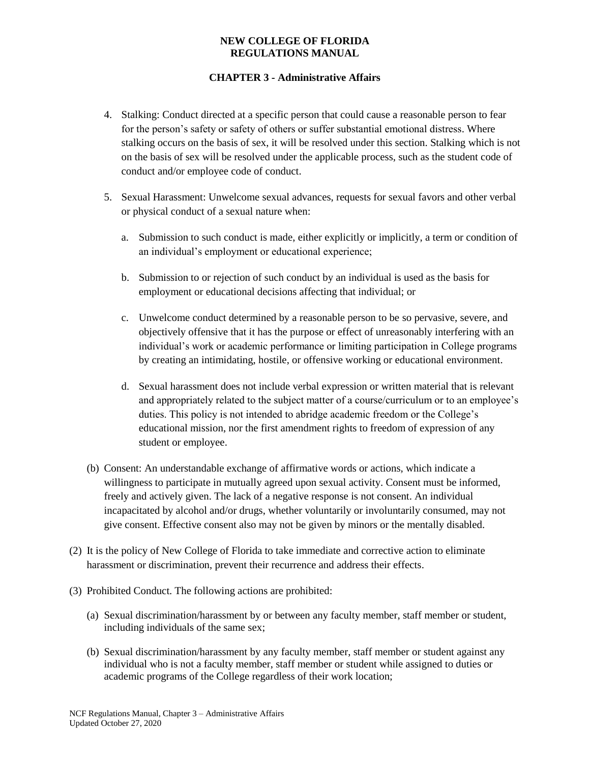- 4. Stalking: Conduct directed at a specific person that could cause a reasonable person to fear for the person's safety or safety of others or suffer substantial emotional distress. Where stalking occurs on the basis of sex, it will be resolved under this section. Stalking which is not on the basis of sex will be resolved under the applicable process, such as the student code of conduct and/or employee code of conduct.
- 5. Sexual Harassment: Unwelcome sexual advances, requests for sexual favors and other verbal or physical conduct of a sexual nature when:
	- a. Submission to such conduct is made, either explicitly or implicitly, a term or condition of an individual's employment or educational experience;
	- b. Submission to or rejection of such conduct by an individual is used as the basis for employment or educational decisions affecting that individual; or
	- c. Unwelcome conduct determined by a reasonable person to be so pervasive, severe, and objectively offensive that it has the purpose or effect of unreasonably interfering with an individual's work or academic performance or limiting participation in College programs by creating an intimidating, hostile, or offensive working or educational environment.
	- d. Sexual harassment does not include verbal expression or written material that is relevant and appropriately related to the subject matter of a course/curriculum or to an employee's duties. This policy is not intended to abridge academic freedom or the College's educational mission, nor the first amendment rights to freedom of expression of any student or employee.
- (b) Consent: An understandable exchange of affirmative words or actions, which indicate a willingness to participate in mutually agreed upon sexual activity. Consent must be informed, freely and actively given. The lack of a negative response is not consent. An individual incapacitated by alcohol and/or drugs, whether voluntarily or involuntarily consumed, may not give consent. Effective consent also may not be given by minors or the mentally disabled.
- (2) It is the policy of New College of Florida to take immediate and corrective action to eliminate harassment or discrimination, prevent their recurrence and address their effects.
- (3) Prohibited Conduct. The following actions are prohibited:
	- (a) Sexual discrimination/harassment by or between any faculty member, staff member or student, including individuals of the same sex;
	- (b) Sexual discrimination/harassment by any faculty member, staff member or student against any individual who is not a faculty member, staff member or student while assigned to duties or academic programs of the College regardless of their work location;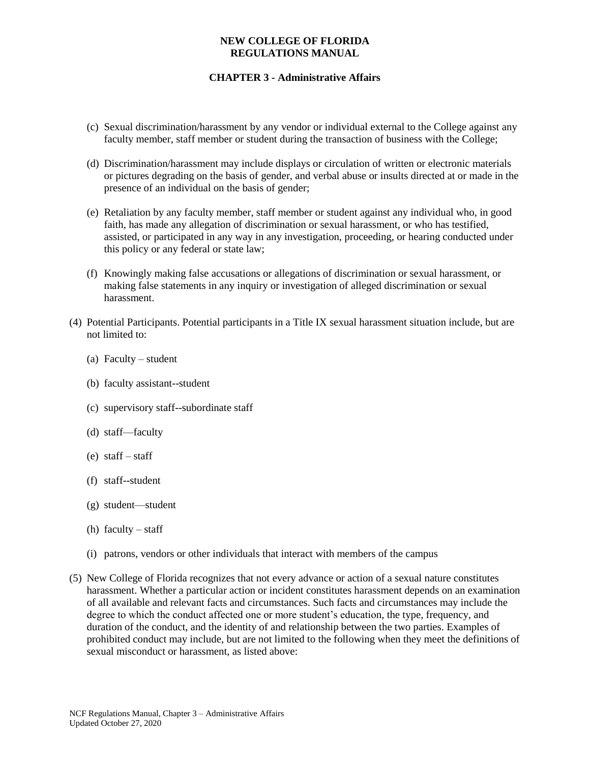- (c) Sexual discrimination/harassment by any vendor or individual external to the College against any faculty member, staff member or student during the transaction of business with the College;
- (d) Discrimination/harassment may include displays or circulation of written or electronic materials or pictures degrading on the basis of gender, and verbal abuse or insults directed at or made in the presence of an individual on the basis of gender;
- (e) Retaliation by any faculty member, staff member or student against any individual who, in good faith, has made any allegation of discrimination or sexual harassment, or who has testified, assisted, or participated in any way in any investigation, proceeding, or hearing conducted under this policy or any federal or state law;
- (f) Knowingly making false accusations or allegations of discrimination or sexual harassment, or making false statements in any inquiry or investigation of alleged discrimination or sexual harassment.
- (4) Potential Participants. Potential participants in a Title IX sexual harassment situation include, but are not limited to:
	- (a) Faculty student
	- (b) faculty assistant--student
	- (c) supervisory staff--subordinate staff
	- (d) staff—faculty
	- (e) staff staff
	- (f) staff--student
	- (g) student—student
	- (h) faculty staff
	- (i) patrons, vendors or other individuals that interact with members of the campus
- (5) New College of Florida recognizes that not every advance or action of a sexual nature constitutes harassment. Whether a particular action or incident constitutes harassment depends on an examination of all available and relevant facts and circumstances. Such facts and circumstances may include the degree to which the conduct affected one or more student's education, the type, frequency, and duration of the conduct, and the identity of and relationship between the two parties. Examples of prohibited conduct may include, but are not limited to the following when they meet the definitions of sexual misconduct or harassment, as listed above: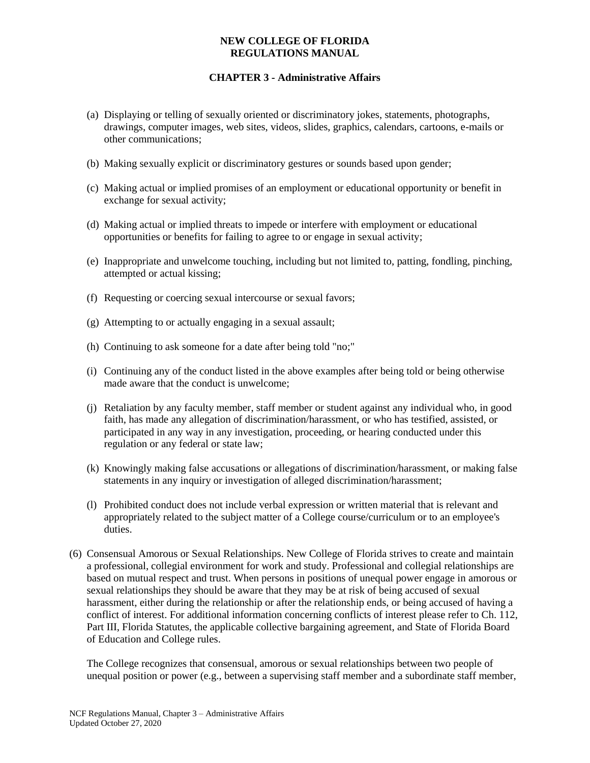## **CHAPTER 3 - Administrative Affairs**

- (a) Displaying or telling of sexually oriented or discriminatory jokes, statements, photographs, drawings, computer images, web sites, videos, slides, graphics, calendars, cartoons, e-mails or other communications;
- (b) Making sexually explicit or discriminatory gestures or sounds based upon gender;
- (c) Making actual or implied promises of an employment or educational opportunity or benefit in exchange for sexual activity;
- (d) Making actual or implied threats to impede or interfere with employment or educational opportunities or benefits for failing to agree to or engage in sexual activity;
- (e) Inappropriate and unwelcome touching, including but not limited to, patting, fondling, pinching, attempted or actual kissing;
- (f) Requesting or coercing sexual intercourse or sexual favors;
- (g) Attempting to or actually engaging in a sexual assault;
- (h) Continuing to ask someone for a date after being told "no;"
- (i) Continuing any of the conduct listed in the above examples after being told or being otherwise made aware that the conduct is unwelcome;
- (j) Retaliation by any faculty member, staff member or student against any individual who, in good faith, has made any allegation of discrimination/harassment, or who has testified, assisted, or participated in any way in any investigation, proceeding, or hearing conducted under this regulation or any federal or state law;
- (k) Knowingly making false accusations or allegations of discrimination/harassment, or making false statements in any inquiry or investigation of alleged discrimination/harassment;
- (l) Prohibited conduct does not include verbal expression or written material that is relevant and appropriately related to the subject matter of a College course/curriculum or to an employee's duties.
- (6) Consensual Amorous or Sexual Relationships. New College of Florida strives to create and maintain a professional, collegial environment for work and study. Professional and collegial relationships are based on mutual respect and trust. When persons in positions of unequal power engage in amorous or sexual relationships they should be aware that they may be at risk of being accused of sexual harassment, either during the relationship or after the relationship ends, or being accused of having a conflict of interest. For additional information concerning conflicts of interest please refer to Ch. 112, Part III, Florida Statutes, the applicable collective bargaining agreement, and State of Florida Board of Education and College rules.

The College recognizes that consensual, amorous or sexual relationships between two people of unequal position or power (e.g., between a supervising staff member and a subordinate staff member,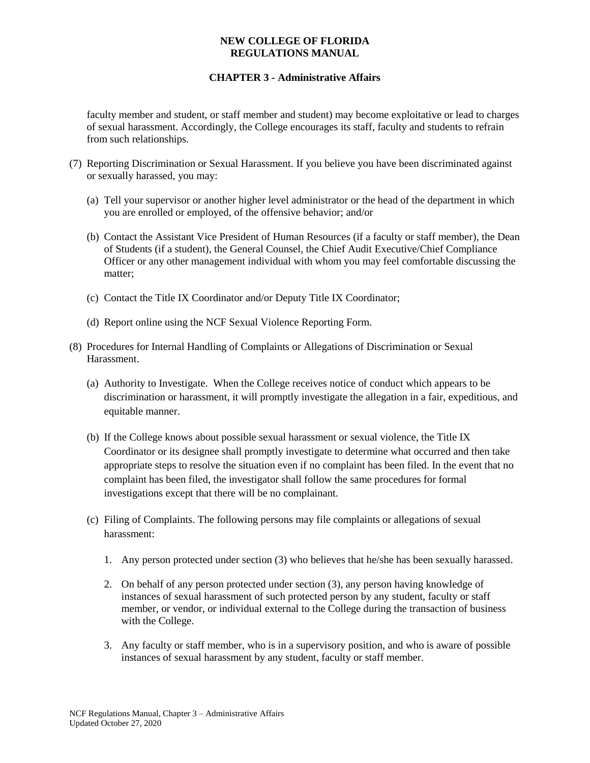### **CHAPTER 3 - Administrative Affairs**

faculty member and student, or staff member and student) may become exploitative or lead to charges of sexual harassment. Accordingly, the College encourages its staff, faculty and students to refrain from such relationships.

- (7) Reporting Discrimination or Sexual Harassment. If you believe you have been discriminated against or sexually harassed, you may:
	- (a) Tell your supervisor or another higher level administrator or the head of the department in which you are enrolled or employed, of the offensive behavior; and/or
	- (b) Contact the Assistant Vice President of Human Resources (if a faculty or staff member), the Dean of Students (if a student), the General Counsel, the Chief Audit Executive/Chief Compliance Officer or any other management individual with whom you may feel comfortable discussing the matter;
	- (c) Contact the Title IX Coordinator and/or Deputy Title IX Coordinator;
	- (d) Report online using the NCF Sexual Violence Reporting Form.
- (8) Procedures for Internal Handling of Complaints or Allegations of Discrimination or Sexual Harassment.
	- (a) Authority to Investigate. When the College receives notice of conduct which appears to be discrimination or harassment, it will promptly investigate the allegation in a fair, expeditious, and equitable manner.
	- (b) If the College knows about possible sexual harassment or sexual violence, the Title IX Coordinator or its designee shall promptly investigate to determine what occurred and then take appropriate steps to resolve the situation even if no complaint has been filed. In the event that no complaint has been filed, the investigator shall follow the same procedures for formal investigations except that there will be no complainant.
	- (c) Filing of Complaints. The following persons may file complaints or allegations of sexual harassment:
		- 1. Any person protected under section (3) who believes that he/she has been sexually harassed.
		- 2. On behalf of any person protected under section (3), any person having knowledge of instances of sexual harassment of such protected person by any student, faculty or staff member, or vendor, or individual external to the College during the transaction of business with the College.
		- 3. Any faculty or staff member, who is in a supervisory position, and who is aware of possible instances of sexual harassment by any student, faculty or staff member.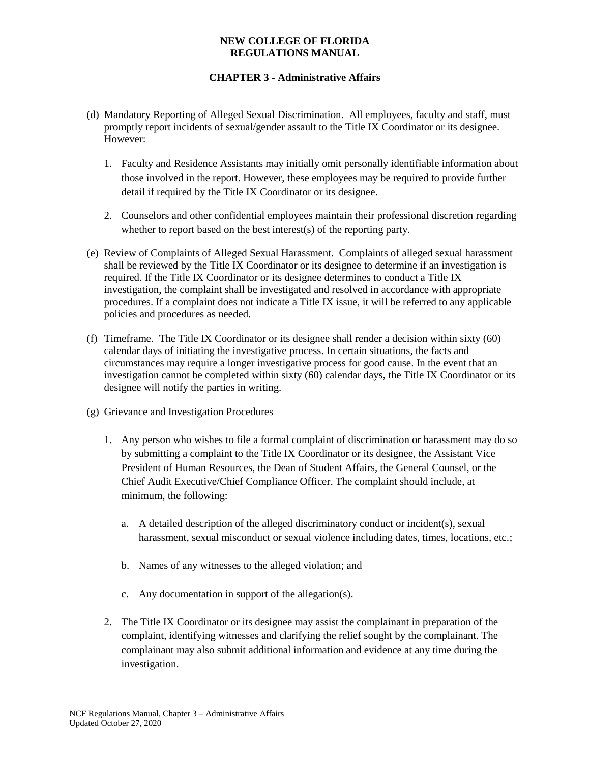- (d) Mandatory Reporting of Alleged Sexual Discrimination. All employees, faculty and staff, must promptly report incidents of sexual/gender assault to the Title IX Coordinator or its designee. However:
	- 1. Faculty and Residence Assistants may initially omit personally identifiable information about those involved in the report. However, these employees may be required to provide further detail if required by the Title IX Coordinator or its designee.
	- 2. Counselors and other confidential employees maintain their professional discretion regarding whether to report based on the best interest(s) of the reporting party.
- (e) Review of Complaints of Alleged Sexual Harassment. Complaints of alleged sexual harassment shall be reviewed by the Title IX Coordinator or its designee to determine if an investigation is required. If the Title IX Coordinator or its designee determines to conduct a Title IX investigation, the complaint shall be investigated and resolved in accordance with appropriate procedures. If a complaint does not indicate a Title IX issue, it will be referred to any applicable policies and procedures as needed.
- (f) Timeframe. The Title IX Coordinator or its designee shall render a decision within sixty (60) calendar days of initiating the investigative process. In certain situations, the facts and circumstances may require a longer investigative process for good cause. In the event that an investigation cannot be completed within sixty (60) calendar days, the Title IX Coordinator or its designee will notify the parties in writing.
- (g) Grievance and Investigation Procedures
	- 1. Any person who wishes to file a formal complaint of discrimination or harassment may do so by submitting a complaint to the Title IX Coordinator or its designee, the Assistant Vice President of Human Resources, the Dean of Student Affairs, the General Counsel, or the Chief Audit Executive/Chief Compliance Officer. The complaint should include, at minimum, the following:
		- a. A detailed description of the alleged discriminatory conduct or incident(s), sexual harassment, sexual misconduct or sexual violence including dates, times, locations, etc.;
		- b. Names of any witnesses to the alleged violation; and
		- c. Any documentation in support of the allegation(s).
	- 2. The Title IX Coordinator or its designee may assist the complainant in preparation of the complaint, identifying witnesses and clarifying the relief sought by the complainant. The complainant may also submit additional information and evidence at any time during the investigation.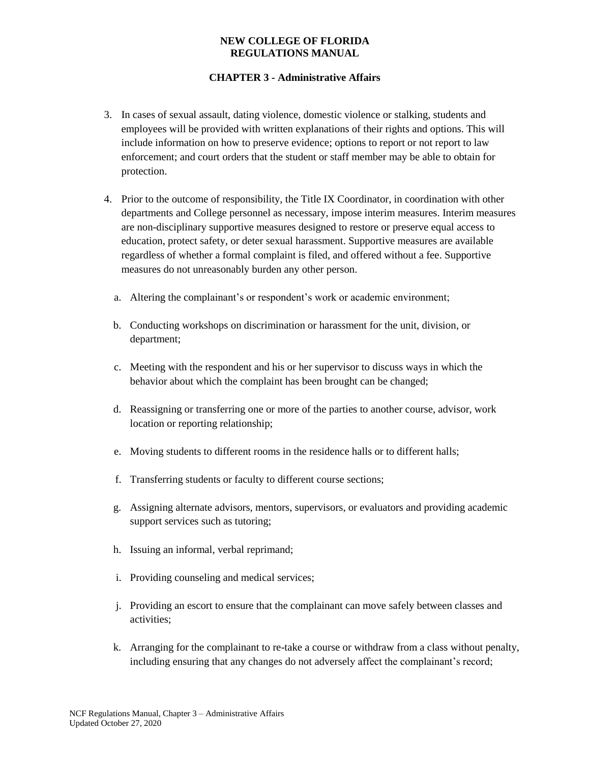- 3. In cases of sexual assault, dating violence, domestic violence or stalking, students and employees will be provided with written explanations of their rights and options. This will include information on how to preserve evidence; options to report or not report to law enforcement; and court orders that the student or staff member may be able to obtain for protection.
- 4. Prior to the outcome of responsibility, the Title IX Coordinator, in coordination with other departments and College personnel as necessary, impose interim measures. Interim measures are non-disciplinary supportive measures designed to restore or preserve equal access to education, protect safety, or deter sexual harassment. Supportive measures are available regardless of whether a formal complaint is filed, and offered without a fee. Supportive measures do not unreasonably burden any other person.
	- a. Altering the complainant's or respondent's work or academic environment;
	- b. Conducting workshops on discrimination or harassment for the unit, division, or department;
	- c. Meeting with the respondent and his or her supervisor to discuss ways in which the behavior about which the complaint has been brought can be changed;
	- d. Reassigning or transferring one or more of the parties to another course, advisor, work location or reporting relationship;
	- e. Moving students to different rooms in the residence halls or to different halls;
	- f. Transferring students or faculty to different course sections;
	- g. Assigning alternate advisors, mentors, supervisors, or evaluators and providing academic support services such as tutoring;
	- h. Issuing an informal, verbal reprimand;
	- i. Providing counseling and medical services;
	- j. Providing an escort to ensure that the complainant can move safely between classes and activities;
	- k. Arranging for the complainant to re-take a course or withdraw from a class without penalty, including ensuring that any changes do not adversely affect the complainant's record;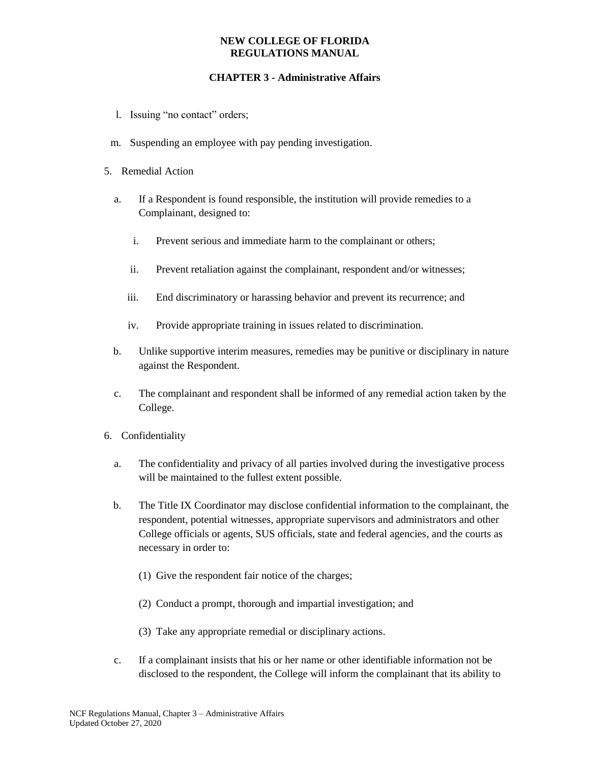- l. Issuing "no contact" orders;
- m. Suspending an employee with pay pending investigation.
- 5. Remedial Action
	- a. If a Respondent is found responsible, the institution will provide remedies to a Complainant, designed to:
		- i. Prevent serious and immediate harm to the complainant or others;
		- ii. Prevent retaliation against the complainant, respondent and/or witnesses;
		- iii. End discriminatory or harassing behavior and prevent its recurrence; and
		- iv. Provide appropriate training in issues related to discrimination.
	- b. Unlike supportive interim measures, remedies may be punitive or disciplinary in nature against the Respondent.
	- c. The complainant and respondent shall be informed of any remedial action taken by the College.
- 6. Confidentiality
	- a. The confidentiality and privacy of all parties involved during the investigative process will be maintained to the fullest extent possible.
	- b. The Title IX Coordinator may disclose confidential information to the complainant, the respondent, potential witnesses, appropriate supervisors and administrators and other College officials or agents, SUS officials, state and federal agencies, and the courts as necessary in order to:
		- (1) Give the respondent fair notice of the charges;
		- (2) Conduct a prompt, thorough and impartial investigation; and
		- (3) Take any appropriate remedial or disciplinary actions.
	- c. If a complainant insists that his or her name or other identifiable information not be disclosed to the respondent, the College will inform the complainant that its ability to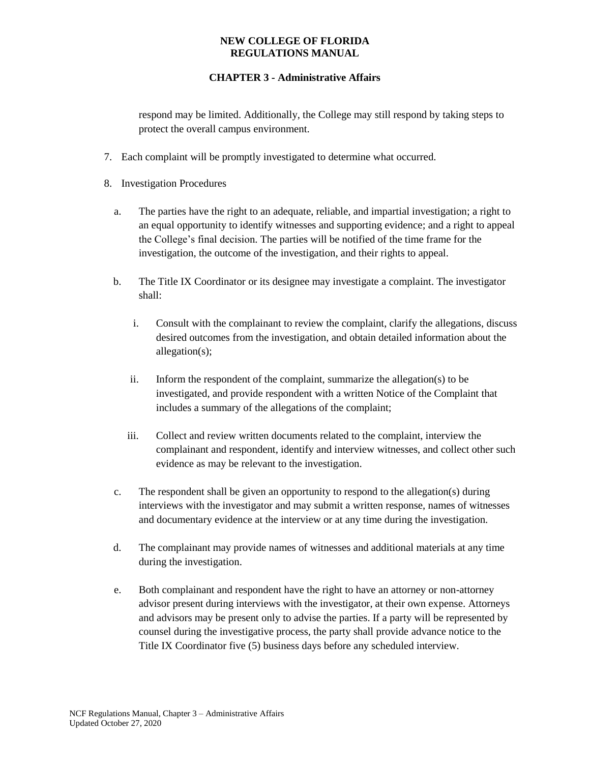## **CHAPTER 3 - Administrative Affairs**

respond may be limited. Additionally, the College may still respond by taking steps to protect the overall campus environment.

- 7. Each complaint will be promptly investigated to determine what occurred.
- 8. Investigation Procedures
	- a. The parties have the right to an adequate, reliable, and impartial investigation; a right to an equal opportunity to identify witnesses and supporting evidence; and a right to appeal the College's final decision. The parties will be notified of the time frame for the investigation, the outcome of the investigation, and their rights to appeal.
	- b. The Title IX Coordinator or its designee may investigate a complaint. The investigator shall:
		- i. Consult with the complainant to review the complaint, clarify the allegations, discuss desired outcomes from the investigation, and obtain detailed information about the allegation(s);
		- ii. Inform the respondent of the complaint, summarize the allegation(s) to be investigated, and provide respondent with a written Notice of the Complaint that includes a summary of the allegations of the complaint;
		- iii. Collect and review written documents related to the complaint, interview the complainant and respondent, identify and interview witnesses, and collect other such evidence as may be relevant to the investigation.
	- c. The respondent shall be given an opportunity to respond to the allegation(s) during interviews with the investigator and may submit a written response, names of witnesses and documentary evidence at the interview or at any time during the investigation.
	- d. The complainant may provide names of witnesses and additional materials at any time during the investigation.
	- e. Both complainant and respondent have the right to have an attorney or non-attorney advisor present during interviews with the investigator, at their own expense. Attorneys and advisors may be present only to advise the parties. If a party will be represented by counsel during the investigative process, the party shall provide advance notice to the Title IX Coordinator five (5) business days before any scheduled interview.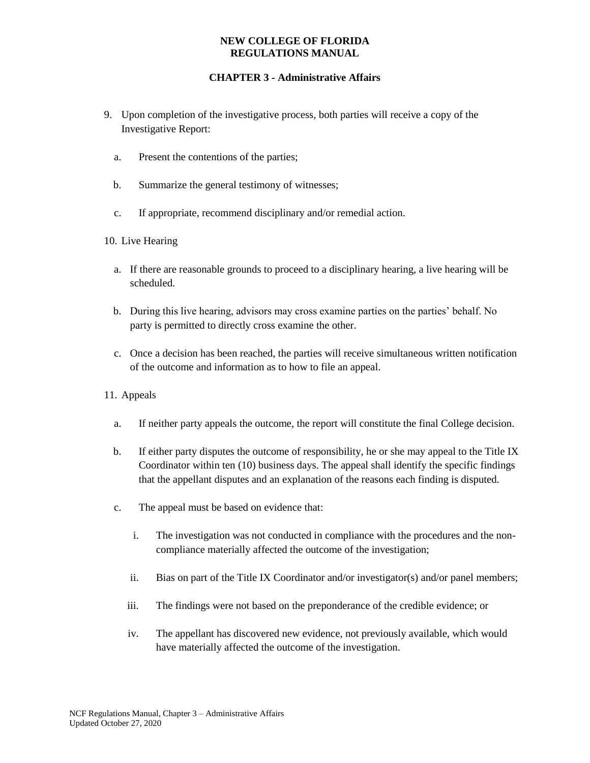- 9. Upon completion of the investigative process, both parties will receive a copy of the Investigative Report:
	- a. Present the contentions of the parties;
	- b. Summarize the general testimony of witnesses;
	- c. If appropriate, recommend disciplinary and/or remedial action.
- 10. Live Hearing
	- a. If there are reasonable grounds to proceed to a disciplinary hearing, a live hearing will be scheduled.
	- b. During this live hearing, advisors may cross examine parties on the parties' behalf. No party is permitted to directly cross examine the other.
	- c. Once a decision has been reached, the parties will receive simultaneous written notification of the outcome and information as to how to file an appeal.
- 11. Appeals
	- a. If neither party appeals the outcome, the report will constitute the final College decision.
	- b. If either party disputes the outcome of responsibility, he or she may appeal to the Title IX Coordinator within ten (10) business days. The appeal shall identify the specific findings that the appellant disputes and an explanation of the reasons each finding is disputed.
	- c. The appeal must be based on evidence that:
		- i. The investigation was not conducted in compliance with the procedures and the noncompliance materially affected the outcome of the investigation;
		- ii. Bias on part of the Title IX Coordinator and/or investigator(s) and/or panel members;
		- iii. The findings were not based on the preponderance of the credible evidence; or
		- iv. The appellant has discovered new evidence, not previously available, which would have materially affected the outcome of the investigation.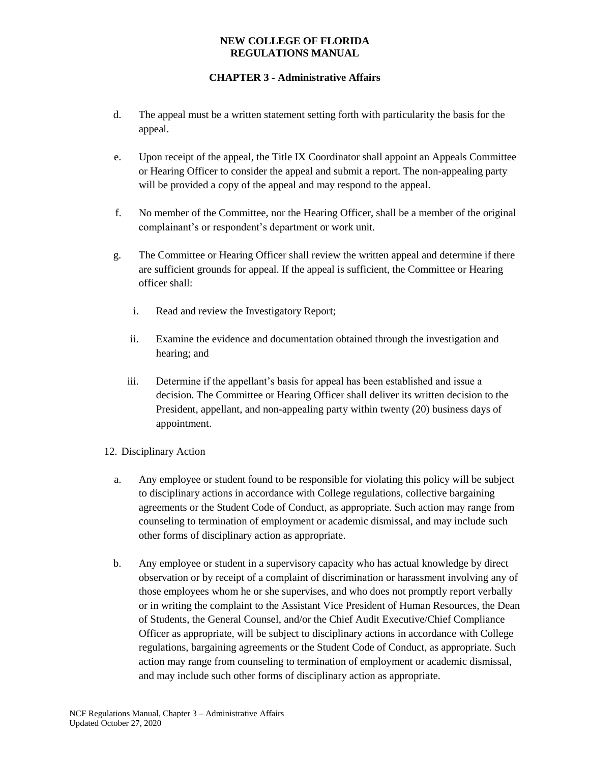- d. The appeal must be a written statement setting forth with particularity the basis for the appeal.
- e. Upon receipt of the appeal, the Title IX Coordinator shall appoint an Appeals Committee or Hearing Officer to consider the appeal and submit a report. The non-appealing party will be provided a copy of the appeal and may respond to the appeal.
- f. No member of the Committee, nor the Hearing Officer, shall be a member of the original complainant's or respondent's department or work unit.
- g. The Committee or Hearing Officer shall review the written appeal and determine if there are sufficient grounds for appeal. If the appeal is sufficient, the Committee or Hearing officer shall:
	- i. Read and review the Investigatory Report;
	- ii. Examine the evidence and documentation obtained through the investigation and hearing; and
	- iii. Determine if the appellant's basis for appeal has been established and issue a decision. The Committee or Hearing Officer shall deliver its written decision to the President, appellant, and non-appealing party within twenty (20) business days of appointment.
- 12. Disciplinary Action
	- a. Any employee or student found to be responsible for violating this policy will be subject to disciplinary actions in accordance with College regulations, collective bargaining agreements or the Student Code of Conduct, as appropriate. Such action may range from counseling to termination of employment or academic dismissal, and may include such other forms of disciplinary action as appropriate.
	- b. Any employee or student in a supervisory capacity who has actual knowledge by direct observation or by receipt of a complaint of discrimination or harassment involving any of those employees whom he or she supervises, and who does not promptly report verbally or in writing the complaint to the Assistant Vice President of Human Resources, the Dean of Students, the General Counsel, and/or the Chief Audit Executive/Chief Compliance Officer as appropriate, will be subject to disciplinary actions in accordance with College regulations, bargaining agreements or the Student Code of Conduct, as appropriate. Such action may range from counseling to termination of employment or academic dismissal, and may include such other forms of disciplinary action as appropriate.